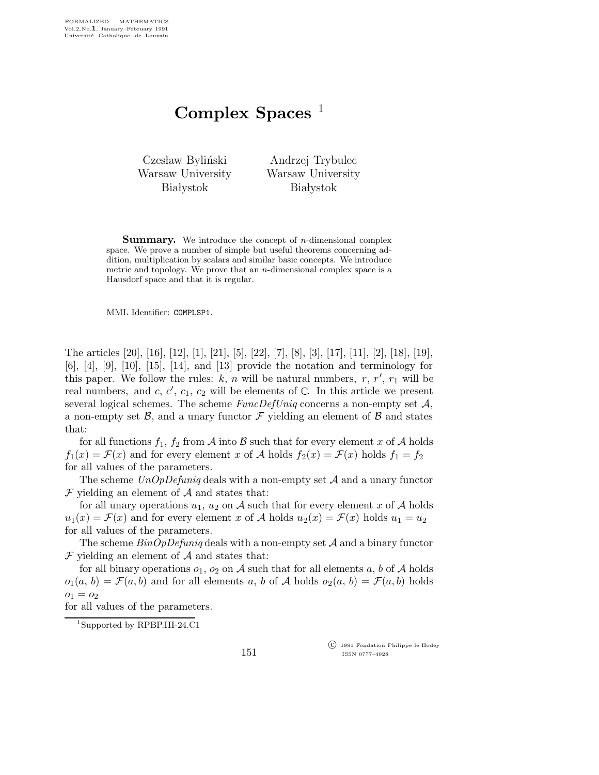## Complex Spaces  $<sup>1</sup>$ </sup>

Czesław Byliński Warsaw University **Białystok** 

Andrzej Trybulec Warsaw University **Białystok** 

**Summary.** We introduce the concept of *n*-dimensional complex space. We prove a number of simple but useful theorems concerning addition, multiplication by scalars and similar basic concepts. We introduce metric and topology. We prove that an  $n$ -dimensional complex space is a Hausdorf space and that it is regular.

MML Identifier: COMPLSP1.

The articles [20], [16], [12], [1], [21], [5], [22], [7], [8], [3], [17], [11], [2], [18], [19], [6], [4], [9], [10], [15], [14], and [13] provide the notation and terminology for this paper. We follow the rules:  $k, n$  will be natural numbers, r, r', r<sub>1</sub> will be real numbers, and c, c', c<sub>1</sub>, c<sub>2</sub> will be elements of  $\mathbb{C}$ . In this article we present several logical schemes. The scheme  $FuncDefUniq$  concerns a non-empty set  $A$ , a non-empty set  $\mathcal{B}$ , and a unary functor  $\mathcal F$  yielding an element of  $\mathcal B$  and states that:

for all functions  $f_1, f_2$  from A into B such that for every element x of A holds  $f_1(x) = \mathcal{F}(x)$  and for every element x of A holds  $f_2(x) = \mathcal{F}(x)$  holds  $f_1 = f_2$ for all values of the parameters.

The scheme  $UnOpDefuning$  deals with a non-empty set  $A$  and a unary functor  $\mathcal F$  yielding an element of  $\mathcal A$  and states that:

for all unary operations  $u_1, u_2$  on A such that for every element x of A holds  $u_1(x) = \mathcal{F}(x)$  and for every element x of A holds  $u_2(x) = \mathcal{F}(x)$  holds  $u_1 = u_2$ for all values of the parameters.

The scheme  $BinOpDefuning$  deals with a non-empty set  $A$  and a binary functor  $\mathcal F$  yielding an element of  $\mathcal A$  and states that:

for all binary operations  $o_1$ ,  $o_2$  on A such that for all elements a, b of A holds  $o_1(a, b) = \mathcal{F}(a, b)$  and for all elements a, b of A holds  $o_2(a, b) = \mathcal{F}(a, b)$  holds  $o_1 = o_2$ 

for all values of the parameters.

<sup>1</sup>Supported by RPBP.III-24.C1

 c 1991 Fondation Philippe le Hodey ISSN 0777–4028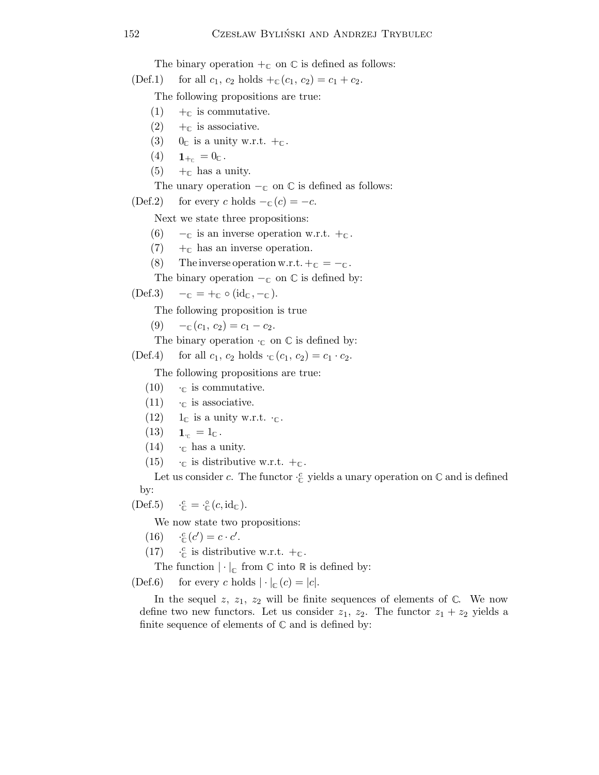The binary operation  $+_{\mathbb{C}}$  on  $\mathbb C$  is defined as follows:

(Def.1) for all  $c_1$ ,  $c_2$  holds  $+_{\mathbb{C}}(c_1, c_2) = c_1 + c_2$ .

The following propositions are true:

- (1)  $+_{\mathbb{C}}$  is commutative.
- $(2)$  +  $\epsilon$  is associative.
- (3)  $0_{\mathbb{C}}$  is a unity w.r.t.  $+_{\mathbb{C}}$ .
- (4)  $1_{+_{\mathbb{C}}} = 0_{\mathbb{C}}$ .
- (5)  $+_{\mathbb{C}}$  has a unity.

The unary operation  $-\mathfrak{c}$  on  $\mathbb C$  is defined as follows:

(Def.2) for every c holds  $-\varepsilon$  (c) =  $-c$ .

Next we state three propositions:

- (6)  $-\mathbb{C}$  is an inverse operation w.r.t.  $+\mathbb{C}$ .
- $(7)$  +  $\in$  has an inverse operation.
- (8) The inverse operation w.r.t.  $+_{\mathbb{C}} = -_{\mathbb{C}}$ .
- The binary operation  $-\mathfrak{c}$  on  $\mathbb C$  is defined by:

 $(\text{Def.3}) \quad -_{\mathbb{C}} = +_{\mathbb{C}} \circ (\text{id}_{\mathbb{C}}, -_{\mathbb{C}}).$ 

The following proposition is true

- (9)  $-c_0(c_1, c_2) = c_1 c_2.$
- The binary operation  $\cdot_{\mathbb{C}}$  on  $\mathbb{C}$  is defined by:
- (Def.4) for all  $c_1$ ,  $c_2$  holds  $\cdot_C(c_1, c_2) = c_1 \cdot c_2$ .

The following propositions are true:

- (10)  $\cdot_{\mathbb{C}}$  is commutative.
- $(11)$   $\cdot_{\mathbb{C}}$  is associative.
- $(12)$  1<sub>c</sub> is a unity w.r.t.  $\cdot_c$ .
- $(13)$  **1**<sub>c</sub> = 1<sub>c</sub>.
- $(14)$  · c has a unity.
- (15)  $\cdot_{\mathbb{C}}$  is distributive w.r.t.  $+_{\mathbb{C}}$ .

Let us consider c. The functor  $\cdot_{\mathbb{C}}^c$  yields a unary operation on  $\mathbb C$  and is defined by:

 $(Def.5)$  $c_{\mathbb{C}}^c = \cdot_{\mathbb{C}}^{\circ} (c, \mathrm{id}_{\mathbb{C}}).$ 

We now state two propositions:

- (16)  $\cdot \frac{c}{c}(c') = c \cdot c'$ .
- (17)  $\cdot \mathcal{L}_{\mathbb{C}}$  is distributive w.r.t.  $+_{\mathbb{C}}$ .

The function  $|\cdot|_{\mathbb{C}}$  from  $\mathbb C$  into  $\mathbb R$  is defined by:

(Def.6) for every c holds  $|\cdot|_{\mathcal{C}}(c) = |c|$ .

In the sequel z,  $z_1$ ,  $z_2$  will be finite sequences of elements of  $\mathbb{C}$ . We now define two new functors. Let us consider  $z_1$ ,  $z_2$ . The functor  $z_1 + z_2$  yields a finite sequence of elements of  $\mathbb C$  and is defined by: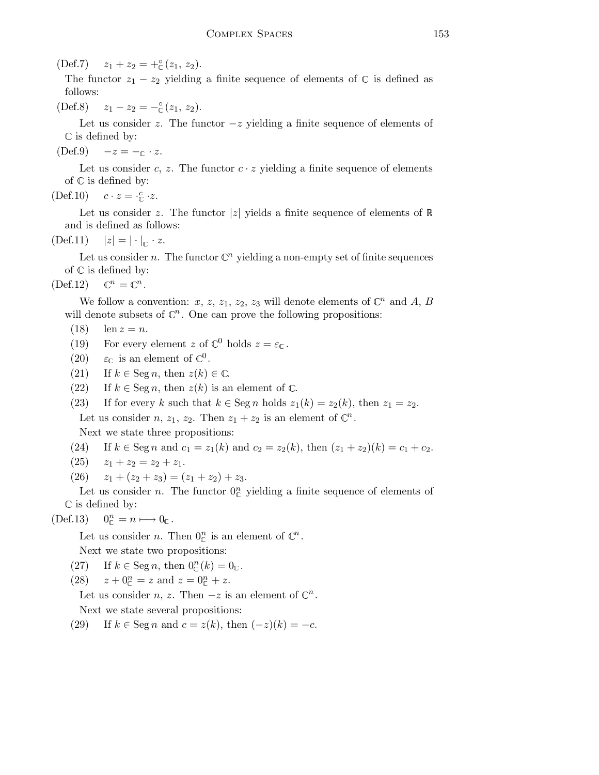(Def.7)  $z_1 + z_2 = +\frac{6}{5}(z_1, z_2)$ .

The functor  $z_1 - z_2$  yielding a finite sequence of elements of  $\mathbb C$  is defined as follows:

(Def.8)  $z_1 - z_2 = -\frac{6}{5}(z_1, z_2).$ 

Let us consider z. The functor  $-z$  yielding a finite sequence of elements of  $\mathbb C$  is defined by:

 $(\text{Def.9}) \quad -z = -\text{I} \cdot z.$ 

Let us consider c, z. The functor  $c \cdot z$  yielding a finite sequence of elements of  $\mathbb C$  is defined by:

(Def.10)  $c \cdot z = \frac{c}{c} \cdot z$ .

Let us consider z. The functor  $|z|$  yields a finite sequence of elements of  $\mathbb R$ and is defined as follows:

 $(\text{Def.11}) \quad |z| = |\cdot|_{\cap} \cdot z.$ 

Let us consider n. The functor  $\mathbb{C}^n$  yielding a non-empty set of finite sequences of  $\mathbb C$  is defined by:

 $(\text{Def.12}) \quad \mathbb{C}^n = \mathbb{C}^n.$ 

We follow a convention: x, z, z<sub>1</sub>, z<sub>2</sub>, z<sub>3</sub> will denote elements of  $\mathbb{C}^n$  and A, B will denote subsets of  $\mathbb{C}^n$ . One can prove the following propositions:

- (18)  $\ln z = n$ .
- (19) For every element z of  $\mathbb{C}^0$  holds  $z = \varepsilon_{\mathbb{C}}$ .
- (20)  $\varepsilon_{\mathbb{C}}$  is an element of  $\mathbb{C}^0$ .
- (21) If  $k \in \text{Seg } n$ , then  $z(k) \in \mathbb{C}$ .
- (22) If  $k \in \text{Seg } n$ , then  $z(k)$  is an element of  $\mathbb{C}$ .
- (23) If for every k such that  $k \in \text{Seg } n$  holds  $z_1(k) = z_2(k)$ , then  $z_1 = z_2$ . Let us consider *n*,  $z_1$ ,  $z_2$ . Then  $z_1 + z_2$  is an element of  $\mathbb{C}^n$ .

Next we state three propositions:

(24) If 
$$
k \in \text{Seg } n
$$
 and  $c_1 = z_1(k)$  and  $c_2 = z_2(k)$ , then  $(z_1 + z_2)(k) = c_1 + c_2$ .

- $(25)$   $z_1 + z_2 = z_2 + z_1.$
- (26)  $z_1 + (z_2 + z_3) = (z_1 + z_2) + z_3.$

Let us consider *n*. The functor  $0_{\mathbb{C}}^n$  yielding a finite sequence of elements of  $\mathbb C$  is defined by:

 $(Def.13)$  $0^n_c = n \longmapsto 0_c$ .

Let us consider *n*. Then  $0^n_{\mathbb{C}}$  is an element of  $\mathbb{C}^n$ .

Next we state two propositions:

- (27) If  $k \in \text{Seg } n$ , then  $0^n_{\mathbb{C}}(k) = 0_{\mathbb{C}}$ .
- (28)  $z + 0^{\textit{n}}_{\mathbb{C}} = z$  and  $z = 0^{\textit{n}}_{\mathbb{C}} + z$ .

Let us consider *n*, *z*. Then  $-z$  is an element of  $\mathbb{C}^n$ . Next we state several propositions:

(29) If  $k \in \text{Seg } n$  and  $c = z(k)$ , then  $(-z)(k) = -c$ .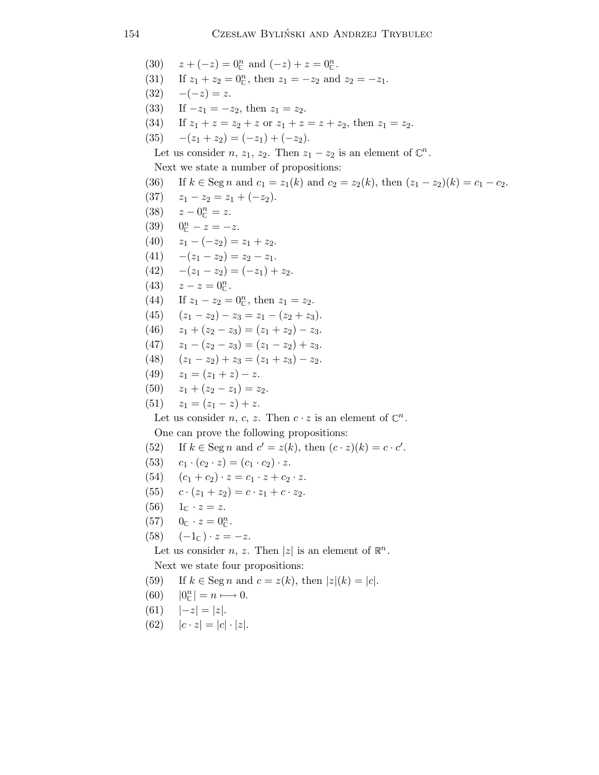(30)  $z + (-z) = 0_{\mathbb{C}}^n$  and  $(-z) + z = 0_{\mathbb{C}}^n$ . (31) If  $z_1 + z_2 = 0_{\mathbb{C}}^n$ , then  $z_1 = -z_2$  and  $z_2 = -z_1$ . (32)  $-(-z) = z$ . (33) If  $-z_1 = -z_2$ , then  $z_1 = z_2$ . (34) If  $z_1 + z = z_2 + z$  or  $z_1 + z = z + z_2$ , then  $z_1 = z_2$ . (35)  $-(z_1 + z_2) = (-z_1) + (-z_2).$ Let us consider  $n, z_1, z_2$ . Then  $z_1 - z_2$  is an element of  $\mathbb{C}^n$ . Next we state a number of propositions: (36) If  $k \in \text{Seg } n$  and  $c_1 = z_1(k)$  and  $c_2 = z_2(k)$ , then  $(z_1 - z_2)(k) = c_1 - c_2$ . (37)  $z_1 - z_2 = z_1 + (-z_2)$ . (38)  $z - 0^{\frac{n}{\mathbb{C}}} = z.$ (39)  $0^n_{\mathbb{C}} - z = -z$ . (40)  $z_1 - (-z_2) = z_1 + z_2.$ (41)  $-(z_1 - z_2) = z_2 - z_1$ . (42)  $-(z_1 - z_2) = (-z_1) + z_2.$ (43)  $z - z = 0^n_{\mathbb{C}}$ . (44) If  $z_1 - z_2 = 0_{\mathbb{C}}^n$ , then  $z_1 = z_2$ . (45)  $(z_1 - z_2) - z_3 = z_1 - (z_2 + z_3).$ (46)  $z_1 + (z_2 - z_3) = (z_1 + z_2) - z_3.$ (47)  $z_1 - (z_2 - z_3) = (z_1 - z_2) + z_3.$ (48)  $(z_1 - z_2) + z_3 = (z_1 + z_3) - z_2.$ (49)  $z_1 = (z_1 + z) - z$ . (50)  $z_1 + (z_2 - z_1) = z_2$ . (51)  $z_1 = (z_1 - z) + z$ . Let us consider *n*, *c*, *z*. Then  $c \cdot z$  is an element of  $\mathbb{C}^n$ . One can prove the following propositions: (52) If  $k \in \text{Seg } n$  and  $c' = z(k)$ , then  $(c \cdot z)(k) = c \cdot c'$ . (53)  $c_1 \cdot (c_2 \cdot z) = (c_1 \cdot c_2) \cdot z.$ (54)  $(c_1 + c_2) \cdot z = c_1 \cdot z + c_2 \cdot z.$ (55)  $c \cdot (z_1 + z_2) = c \cdot z_1 + c \cdot z_2$ .  $(56) \quad 1_{\Gamma} \cdot z = z.$ (57)  $0_{\mathbb{C}} \cdot z = 0_{\mathbb{C}}^{n}$ . (58)  $(-1_c) \cdot z = -z$ . Let us consider *n*, *z*. Then |*z*| is an element of  $\mathbb{R}^n$ . Next we state four propositions: (59) If  $k \in \text{Seg } n$  and  $c = z(k)$ , then  $|z|(k) = |c|$ .  $(60)$  $\binom{n}{\mathbb{C}}$  =  $n \longmapsto 0$ . (61)  $|-z| = |z|$ . (62)  $|c \cdot z| = |c| \cdot |z|$ .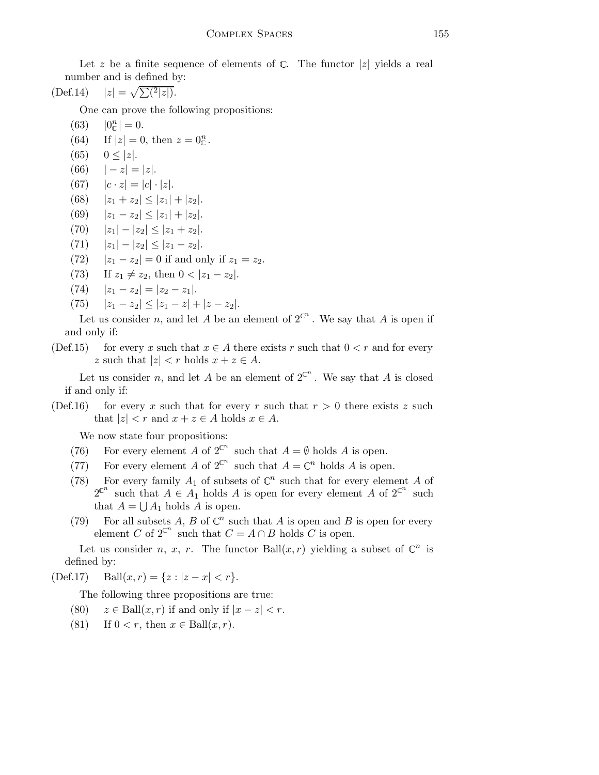Let z be a finite sequence of elements of  $\mathbb{C}$ . The functor |z| yields a real number and is defined by:

$$
(\text{Def.14}) \quad |z| = \sqrt{\sum (2|z|)}.
$$

One can prove the following propositions:

- $(63)$  $|n_{\text{c}}| = 0.$
- (64) If  $|z| = 0$ , then  $z = 0^n_{\mathbb{C}}$ .
- (65)  $0 \le |z|$ .
- (66)  $|-z|=|z|$ .
- (67)  $|c \cdot z| = |c| \cdot |z|$ .
- (68)  $|z_1 + z_2| \leq |z_1| + |z_2|$ .
- (69)  $|z_1 z_2| \leq |z_1| + |z_2|$ .
- (70)  $|z_1| |z_2| \le |z_1 + z_2|$ .
- (71)  $|z_1| |z_2| \leq |z_1 z_2|$ .
- (72)  $|z_1 z_2| = 0$  if and only if  $z_1 = z_2$ .
- (73) If  $z_1 \neq z_2$ , then  $0 < |z_1 z_2|$ .
- (74)  $|z_1 z_2| = |z_2 z_1|.$
- (75)  $|z_1 z_2| \leq |z_1 z| + |z z_2|$ .

Let us consider n, and let A be an element of  $2^{\mathbb{C}^n}$ . We say that A is open if and only if:

(Def.15) for every x such that  $x \in A$  there exists r such that  $0 < r$  and for every z such that  $|z| < r$  holds  $x + z \in A$ .

Let us consider n, and let A be an element of  $2^{\mathbb{C}^n}$ . We say that A is closed if and only if:

(Def.16) for every x such that for every r such that  $r > 0$  there exists z such that  $|z| < r$  and  $x + z \in A$  holds  $x \in A$ .

We now state four propositions:

- (76) For every element A of  $2^{\mathbb{C}^n}$  such that  $A = \emptyset$  holds A is open.
- (77) For every element A of  $2^{\mathbb{C}^n}$  such that  $A = \mathbb{C}^n$  holds A is open.
- (78) For every family  $A_1$  of subsets of  $\mathbb{C}^n$  such that for every element A of  $2^{\mathbb{C}^n}$  such that  $A \in A_1$  holds A is open for every element A of  $2^{\mathbb{C}^n}$  such that  $A = \bigcup A_1$  holds A is open.
- (79) For all subsets A, B of  $\mathbb{C}^n$  such that A is open and B is open for every element C of  $2^{\mathbb{C}^n}$  such that  $C = A \cap B$  holds C is open.

Let us consider *n*, *x*, *r*. The functor Ball $(x, r)$  yielding a subset of  $\mathbb{C}^n$  is defined by:

(Def.17) Ball $(x, r) = \{z : |z - x| < r\}.$ 

The following three propositions are true:

- (80)  $z \in \text{Ball}(x, r)$  if and only if  $|x z| < r$ .
- (81) If  $0 < r$ , then  $x \in \text{Ball}(x, r)$ .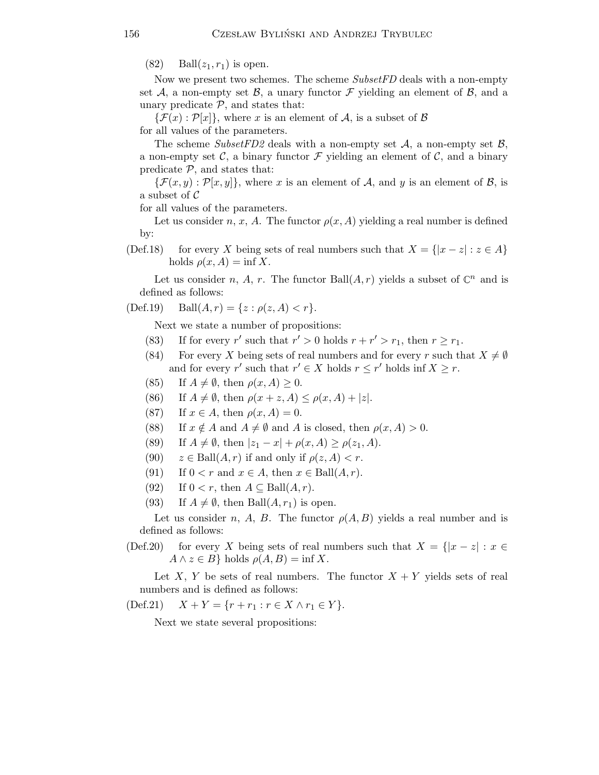$(82)$  Ball $(z_1, r_1)$  is open.

Now we present two schemes. The scheme SubsetFD deals with a non-empty set A, a non-empty set B, a unary functor F yielding an element of B, and a unary predicate  $P$ , and states that:

 $\{\mathcal{F}(x):\mathcal{P}[x]\}\,$ , where x is an element of A, is a subset of B for all values of the parameters.

The scheme SubsetFD2 deals with a non-empty set  $A$ , a non-empty set  $B$ , a non-empty set  $\mathcal{C}$ , a binary functor  $\mathcal F$  yielding an element of  $\mathcal{C}$ , and a binary predicate  $P$ , and states that:

 ${\mathcal{F}}(x,y):{\mathcal{P}}[x,y]$ , where x is an element of A, and y is an element of B, is a subset of  $\mathcal C$ 

for all values of the parameters.

Let us consider n, x, A. The functor  $\rho(x, A)$  yielding a real number is defined by:

(Def.18) for every X being sets of real numbers such that  $X = \{ |x - z| : z \in A \}$ holds  $\rho(x, A) = \inf X$ .

Let us consider n, A, r. The functor Ball $(A, r)$  yields a subset of  $\mathbb{C}^n$  and is defined as follows:

$$
(Def.19) \quad Ball(A, r) = \{ z : \rho(z, A) < r \}.
$$

Next we state a number of propositions:

- (83) If for every r' such that  $r' > 0$  holds  $r + r' > r_1$ , then  $r \ge r_1$ .
- (84) For every X being sets of real numbers and for every r such that  $X \neq \emptyset$ and for every r' such that  $r' \in X$  holds  $r \leq r'$  holds inf  $X \geq r$ .
- (85) If  $A \neq \emptyset$ , then  $\rho(x, A) \geq 0$ .
- (86) If  $A \neq \emptyset$ , then  $\rho(x + z, A) \leq \rho(x, A) + |z|$ .
- (87) If  $x \in A$ , then  $\rho(x, A) = 0$ .
- (88) If  $x \notin A$  and  $A \neq \emptyset$  and A is closed, then  $\rho(x, A) > 0$ .
- (89) If  $A \neq \emptyset$ , then  $|z_1 x| + \rho(x, A) \geq \rho(z_1, A)$ .
- (90)  $z \in \text{Ball}(A, r)$  if and only if  $\rho(z, A) < r$ .
- (91) If  $0 < r$  and  $x \in A$ , then  $x \in Ball(A, r)$ .
- (92) If  $0 < r$ , then  $A \subseteq Ball(A, r)$ .
- (93) If  $A \neq \emptyset$ , then Ball $(A, r_1)$  is open.

Let us consider n, A, B. The functor  $\rho(A, B)$  yields a real number and is defined as follows:

(Def.20) for every X being sets of real numbers such that  $X = \{ |x - z| : x \in$  $A \wedge z \in B$ } holds  $\rho(A, B) = \inf X$ .

Let X, Y be sets of real numbers. The functor  $X + Y$  yields sets of real numbers and is defined as follows:

(Def.21)  $X + Y = \{r + r_1 : r \in X \land r_1 \in Y\}.$ 

Next we state several propositions: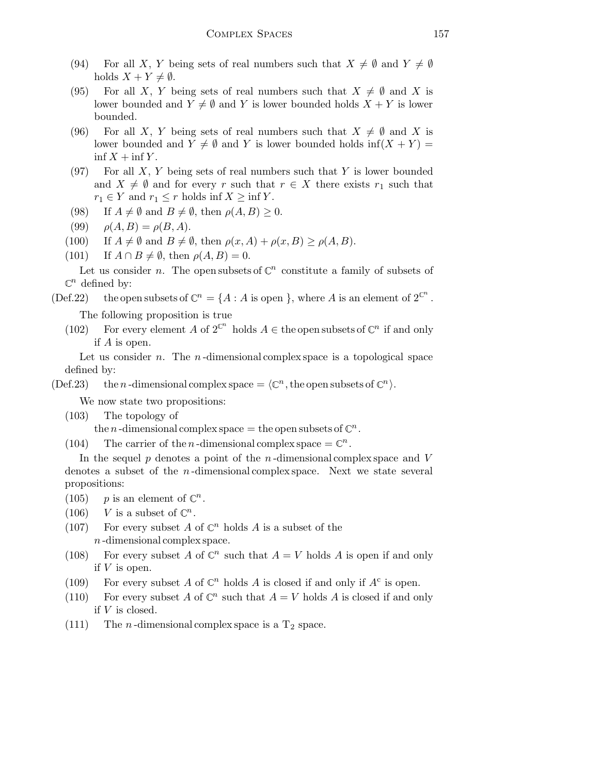- (94) For all X, Y being sets of real numbers such that  $X \neq \emptyset$  and  $Y \neq \emptyset$ holds  $X + Y \neq \emptyset$ .
- (95) For all X, Y being sets of real numbers such that  $X \neq \emptyset$  and X is lower bounded and  $Y \neq \emptyset$  and Y is lower bounded holds  $X + Y$  is lower bounded.
- (96) For all X, Y being sets of real numbers such that  $X \neq \emptyset$  and X is lower bounded and  $Y \neq \emptyset$  and Y is lower bounded holds inf(X + Y) =  $\inf X + \inf Y$ .
- (97) For all  $X, Y$  being sets of real numbers such that Y is lower bounded and  $X \neq \emptyset$  and for every r such that  $r \in X$  there exists  $r_1$  such that  $r_1 \in Y$  and  $r_1 \leq r$  holds inf  $X \geq \inf Y$ .
- (98) If  $A \neq \emptyset$  and  $B \neq \emptyset$ , then  $\rho(A, B) \geq 0$ .
- (99)  $\rho(A, B) = \rho(B, A).$
- (100) If  $A \neq \emptyset$  and  $B \neq \emptyset$ , then  $\rho(x, A) + \rho(x, B) \geq \rho(A, B)$ .
- (101) If  $A \cap B \neq \emptyset$ , then  $\rho(A, B) = 0$ .

Let us consider n. The open subsets of  $\mathbb{C}^n$  constitute a family of subsets of  $\mathbb{C}^n$  defined by:

## (Def.22) the open subsets of  $\mathbb{C}^n = \{A : A \text{ is open }\}$ , where A is an element of  $2^{\mathbb{C}^n}$ .

The following proposition is true

(102) For every element A of  $2^{\mathbb{C}^n}$  holds  $A \in \mathbb{C}^n$  and  $\mathbb{C}^n$  if and only if A is open.

Let us consider  $n$ . The  $n$ -dimensional complex space is a topological space defined by:

(Def.23) the *n*-dimensional complex space =  $\langle \mathbb{C}^n, \text{the open subsets of } \mathbb{C}^n \rangle$ .

We now state two propositions:

(103) The topology of

the *n*-dimensional complex space = the open subsets of  $\mathbb{C}^n$ .

(104) The carrier of the *n*-dimensional complex space  $= \mathbb{C}^n$ .

In the sequel  $p$  denotes a point of the  $n$ -dimensional complex space and V denotes a subset of the  $n$ -dimensional complex space. Next we state several propositions:

- (105) *p* is an element of  $\mathbb{C}^n$ .
- (106) V is a subset of  $\mathbb{C}^n$ .
- (107) For every subset A of  $\mathbb{C}^n$  holds A is a subset of the n -dimensional complex space.
- (108) For every subset A of  $\mathbb{C}^n$  such that  $A = V$  holds A is open if and only if V is open.
- (109) For every subset A of  $\mathbb{C}^n$  holds A is closed if and only if  $A^c$  is open.
- (110) For every subset A of  $\mathbb{C}^n$  such that  $A = V$  holds A is closed if and only if V is closed.
- (111) The *n*-dimensional complex space is a  $T_2$  space.